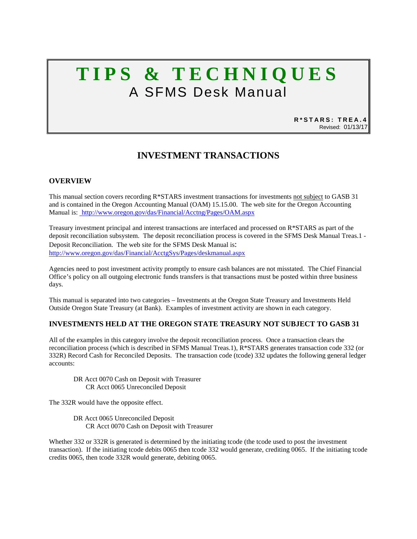# **TIPS & TECHNIQUES** A SFMS Desk Manual

**R\*STARS: TREA.4** Revised: 01/13/17

# **INVESTMENT TRANSACTIONS**

# **OVERVIEW**

This manual section covers recording R\*STARS investment transactions for investments not subject to GASB 31 and is contained in the Oregon Accounting Manual (OAM) 15.15.00. The web site for the Oregon Accounting Manual is: http://www.oregon.gov/das/Financial/Acctng/Pages/OAM.aspx

Treasury investment principal and interest transactions are interfaced and processed on R\*STARS as part of the deposit reconciliation subsystem. The deposit reconciliation process is covered in the SFMS Desk Manual Treas.1 - Deposit Reconciliation. The web site for the SFMS Desk Manual is: <http://www.oregon.gov/das/Financial/AcctgSys/Pages/deskmanual.aspx>

Agencies need to post investment activity promptly to ensure cash balances are not misstated. The Chief Financial Office's policy on all outgoing electronic funds transfers is that transactions must be posted within three business days.

This manual is separated into two categories – Investments at the Oregon State Treasury and Investments Held Outside Oregon State Treasury (at Bank). Examples of investment activity are shown in each category.

# **INVESTMENTS HELD AT THE OREGON STATE TREASURY NOT SUBJECT TO GASB 31**

All of the examples in this category involve the deposit reconciliation process. Once a transaction clears the reconciliation process (which is described in SFMS Manual Treas.1), R\*STARS generates transaction code 332 (or 332R) Record Cash for Reconciled Deposits. The transaction code (tcode) 332 updates the following general ledger accounts:

DR Acct 0070 Cash on Deposit with Treasurer CR Acct 0065 Unreconciled Deposit

The 332R would have the opposite effect.

DR Acct 0065 Unreconciled Deposit CR Acct 0070 Cash on Deposit with Treasurer

Whether 332 or 332R is generated is determined by the initiating tcode (the tcode used to post the investment transaction). If the initiating tcode debits 0065 then tcode 332 would generate, crediting 0065. If the initiating tcode credits 0065, then tcode 332R would generate, debiting 0065.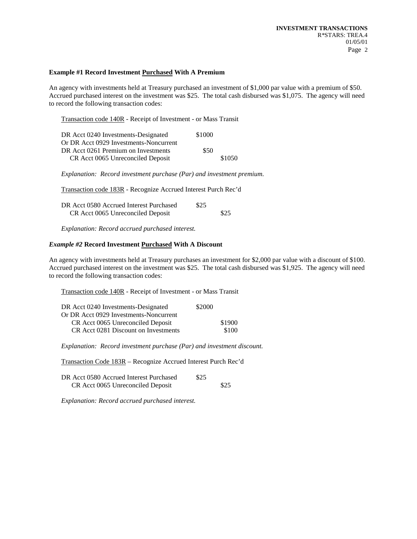#### **Example #1 Record Investment Purchased With A Premium**

An agency with investments held at Treasury purchased an investment of \$1,000 par value with a premium of \$50. Accrued purchased interest on the investment was \$25. The total cash disbursed was \$1,075. The agency will need to record the following transaction codes:

Transaction code 140R - Receipt of Investment - or Mass Transit

| DR Acct 0240 Investments-Designated    | \$1000 |        |
|----------------------------------------|--------|--------|
| Or DR Acct 0929 Investments-Noncurrent |        |        |
| DR Acct 0261 Premium on Investments    | \$50   |        |
| CR Acct 0065 Unreconciled Deposit      |        | \$1050 |

*Explanation: Record investment purchase (Par) and investment premium.*

Transaction code 183R - Recognize Accrued Interest Purch Rec'd

| DR Acct 0580 Accrued Interest Purchased | \$25 |      |
|-----------------------------------------|------|------|
| CR Acct 0065 Unreconciled Deposit       |      | \$25 |

*Explanation: Record accrued purchased interest.*

#### *Example #2* **Record Investment Purchased With A Discount**

An agency with investments held at Treasury purchases an investment for \$2,000 par value with a discount of \$100. Accrued purchased interest on the investment was \$25. The total cash disbursed was \$1,925. The agency will need to record the following transaction codes:

Transaction code 140R - Receipt of Investment - or Mass Transit

| DR Acct 0240 Investments-Designated    | \$2000 |        |
|----------------------------------------|--------|--------|
| Or DR Acct 0929 Investments-Noncurrent |        |        |
| CR Acct 0065 Unreconciled Deposit      |        | \$1900 |
| CR Acct 0281 Discount on Investments   |        | \$100  |

*Explanation: Record investment purchase (Par) and investment discount.*

Transaction Code 183R – Recognize Accrued Interest Purch Rec'd

| DR Acct 0580 Accrued Interest Purchased | \$25 |      |
|-----------------------------------------|------|------|
| CR Acct 0065 Unreconciled Deposit       |      | \$25 |

*Explanation: Record accrued purchased interest.*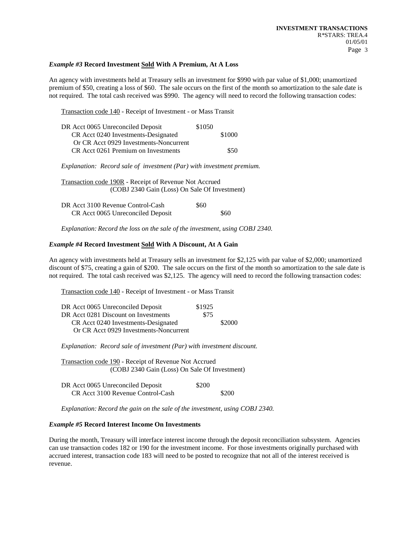#### *Example #3* **Record Investment Sold With A Premium, At A Loss**

An agency with investments held at Treasury sells an investment for \$990 with par value of \$1,000; unamortized premium of \$50, creating a loss of \$60. The sale occurs on the first of the month so amortization to the sale date is not required. The total cash received was \$990. The agency will need to record the following transaction codes:

Transaction code 140 - Receipt of Investment - or Mass Transit

| DR Acct 0065 Unreconciled Deposit      | \$1050 |        |
|----------------------------------------|--------|--------|
| CR Acct 0240 Investments-Designated    |        | \$1000 |
| Or CR Acct 0929 Investments-Noncurrent |        |        |
| CR Acct 0261 Premium on Investments    |        | \$50   |

*Explanation: Record sale of investment (Par) with investment premium.*

Transaction code 190R - Receipt of Revenue Not Accrued (COBJ 2340 Gain (Loss) On Sale Of Investment)

| DR Acct 3100 Revenue Control-Cash | \$60 |      |
|-----------------------------------|------|------|
| CR Acct 0065 Unreconciled Deposit |      | \$60 |

*Explanation: Record the loss on the sale of the investment, using COBJ 2340.*

#### *Example #4* **Record Investment Sold With A Discount, At A Gain**

An agency with investments held at Treasury sells an investment for \$2,125 with par value of \$2,000; unamortized discount of \$75, creating a gain of \$200. The sale occurs on the first of the month so amortization to the sale date is not required. The total cash received was \$2,125. The agency will need to record the following transaction codes:

Transaction code 140 - Receipt of Investment - or Mass Transit

| DR Acct 0065 Unreconciled Deposit      | \$1925 |        |
|----------------------------------------|--------|--------|
| DR Acct 0281 Discount on Investments   | \$75   |        |
| CR Acct 0240 Investments-Designated    |        | \$2000 |
| Or CR Acct 0929 Investments-Noncurrent |        |        |

*Explanation: Record sale of investment (Par) with investment discount.*

Transaction code 190 - Receipt of Revenue Not Accrued (COBJ 2340 Gain (Loss) On Sale Of Investment)

| DR Acct 0065 Unreconciled Deposit | \$200 |       |
|-----------------------------------|-------|-------|
| CR Acct 3100 Revenue Control-Cash |       | \$200 |

*Explanation: Record the gain on the sale of the investment, using COBJ 2340.*

#### *Example #5* **Record Interest Income On Investments**

During the month, Treasury will interface interest income through the deposit reconciliation subsystem. Agencies can use transaction codes 182 or 190 for the investment income. For those investments originally purchased with accrued interest, transaction code 183 will need to be posted to recognize that not all of the interest received is revenue.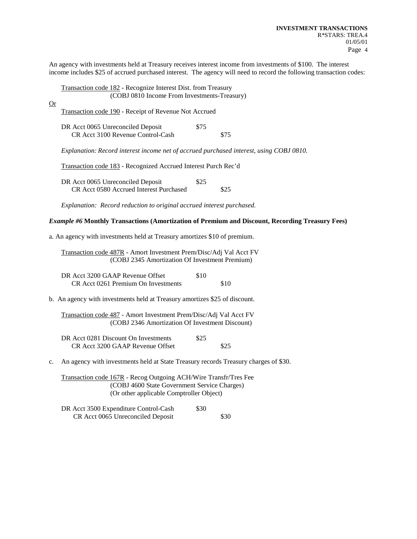An agency with investments held at Treasury receives interest income from investments of \$100. The interest income includes \$25 of accrued purchased interest. The agency will need to record the following transaction codes:

|           | <b>Transaction code 182 - Recognize Interest Dist. from Treasury</b>                    |      |      |
|-----------|-----------------------------------------------------------------------------------------|------|------|
|           | (COBJ 0810 Income From Investments-Treasury)                                            |      |      |
| <u>Or</u> | Transaction code 190 - Receipt of Revenue Not Accrued                                   |      |      |
|           | DR Acct 0065 Unreconciled Deposit<br>CR Acct 3100 Revenue Control-Cash                  | \$75 | \$75 |
|           | Explanation: Record interest income net of accrued purchased interest, using COBJ 0810. |      |      |
|           | Transaction code 183 - Recognized Accrued Interest Purch Rec'd                          |      |      |

DR Acct 0065 Unreconciled Deposit \$25 CR Acct 0580 Accrued Interest Purchased \$25

*Explanation: Record reduction to original accrued interest purchased.*

# *Example #6* **Monthly Transactions (Amortization of Premium and Discount, Recording Treasury Fees)**

a. An agency with investments held at Treasury amortizes \$10 of premium.

Transaction code 487R - Amort Investment Prem/Disc/Adj Val Acct FV (COBJ 2345 Amortization Of Investment Premium)

| DR Acct 3200 GAAP Revenue Offset    | \$10 |      |
|-------------------------------------|------|------|
| CR Acct 0261 Premium On Investments |      | \$10 |

b. An agency with investments held at Treasury amortizes \$25 of discount.

Transaction code 487 - Amort Investment Prem/Disc/Adj Val Acct FV (COBJ 2346 Amortization Of Investment Discount)

| DR Acct 0281 Discount On Investments | \$25 |      |
|--------------------------------------|------|------|
| CR Acct 3200 GAAP Revenue Offset     |      | \$25 |

c. An agency with investments held at State Treasury records Treasury charges of \$30.

Transaction code 167R - Recog Outgoing ACH/Wire Transfr/Tres Fee (COBJ 4600 State Government Service Charges) (Or other applicable Comptroller Object)

DR Acct 3500 Expenditure Control-Cash \$30 CR Acct 0065 Unreconciled Deposit \$30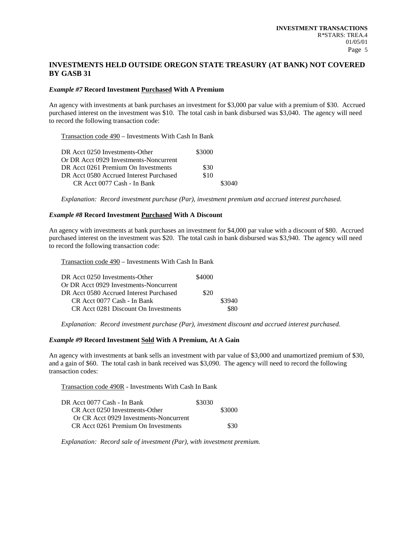# **INVESTMENTS HELD OUTSIDE OREGON STATE TREASURY (AT BANK) NOT COVERED BY GASB 31**

#### *Example #7* **Record Investment Purchased With A Premium**

An agency with investments at bank purchases an investment for \$3,000 par value with a premium of \$30. Accrued purchased interest on the investment was \$10. The total cash in bank disbursed was \$3,040. The agency will need to record the following transaction code:

Transaction code 490 – Investments With Cash In Bank

| \$3000 |        |
|--------|--------|
|        |        |
| \$30   |        |
| \$10   |        |
|        | \$3040 |
|        |        |

*Explanation: Record investment purchase (Par), investment premium and accrued interest purchased.*

# *Example #8* **Record Investment Purchased With A Discount**

An agency with investments at bank purchases an investment for \$4,000 par value with a discount of \$80. Accrued purchased interest on the investment was \$20. The total cash in bank disbursed was \$3,940. The agency will need to record the following transaction code:

Transaction code 490 – Investments With Cash In Bank

| DR Acct 0250 Investments-Other          | \$4000 |        |
|-----------------------------------------|--------|--------|
| Or DR Acct 0929 Investments-Noncurrent  |        |        |
| DR Acct 0580 Accrued Interest Purchased | \$20   |        |
| CR Acct 0077 Cash - In Bank             |        | \$3940 |
| CR Acct 0281 Discount On Investments    |        | \$80   |

*Explanation: Record investment purchase (Par), investment discount and accrued interest purchased.*

### *Example #9* **Record Investment Sold With A Premium, At A Gain**

An agency with investments at bank sells an investment with par value of \$3,000 and unamortized premium of \$30, and a gain of \$60. The total cash in bank received was \$3,090. The agency will need to record the following transaction codes:

Transaction code 490R - Investments With Cash In Bank

| DR Acct 0077 Cash - In Bank            | \$3030 |        |
|----------------------------------------|--------|--------|
| CR Acct 0250 Investments-Other         |        | \$3000 |
| Or CR Acct 0929 Investments-Noncurrent |        |        |
| CR Acct 0261 Premium On Investments    |        | \$30   |

*Explanation: Record sale of investment (Par), with investment premium.*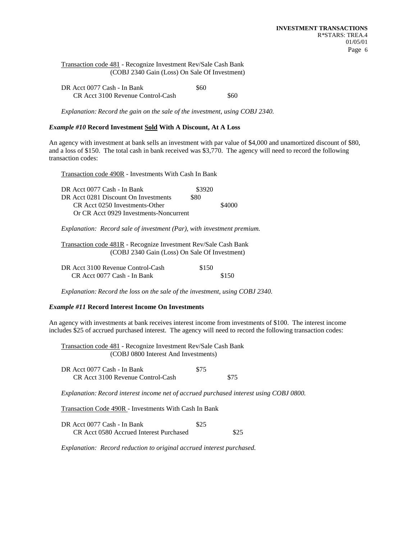|  | Transaction code 481 - Recognize Investment Rev/Sale Cash Bank |
|--|----------------------------------------------------------------|
|  | (COBJ 2340 Gain (Loss) On Sale Of Investment)                  |

| DR Acct 0077 Cash - In Bank       | \$60 |      |
|-----------------------------------|------|------|
| CR Acct 3100 Revenue Control-Cash |      | \$60 |

*Explanation: Record the gain on the sale of the investment, using COBJ 2340.*

# *Example #10* **Record Investment Sold With A Discount, At A Loss**

An agency with investment at bank sells an investment with par value of \$4,000 and unamortized discount of \$80, and a loss of \$150. The total cash in bank received was \$3,770. The agency will need to record the following transaction codes:

Transaction code 490R - Investments With Cash In Bank

| DR Acct 0077 Cash - In Bank            | \$3920 |        |
|----------------------------------------|--------|--------|
| DR Acct 0281 Discount On Investments   | \$80   |        |
| CR Acct 0250 Investments-Other         |        | \$4000 |
| Or CR Acct 0929 Investments-Noncurrent |        |        |

*Explanation: Record sale of investment (Par), with investment premium.*

| Transaction code 481R - Recognize Investment Rev/Sale Cash Bank |
|-----------------------------------------------------------------|
| (COBJ 2340 Gain (Loss) On Sale Of Investment)                   |

| DR Acct 3100 Revenue Control-Cash | \$150 |       |
|-----------------------------------|-------|-------|
| CR Acct 0077 Cash - In Bank       |       | \$150 |

*Explanation: Record the loss on the sale of the investment, using COBJ 2340.*

#### *Example #11* **Record Interest Income On Investments**

An agency with investments at bank receives interest income from investments of \$100. The interest income includes \$25 of accrued purchased interest. The agency will need to record the following transaction codes:

Transaction code 481 - Recognize Investment Rev/Sale Cash Bank (COBJ 0800 Interest And Investments)

| DR Acct 0077 Cash - In Bank       | \$75 |      |
|-----------------------------------|------|------|
| CR Acct 3100 Revenue Control-Cash |      | \$75 |

*Explanation: Record interest income net of accrued purchased interest using COBJ 0800.*

Transaction Code 490R - Investments With Cash In Bank

| DR Acct 0077 Cash - In Bank             | \$25 |      |
|-----------------------------------------|------|------|
| CR Acct 0580 Accrued Interest Purchased |      | \$25 |

*Explanation: Record reduction to original accrued interest purchased.*